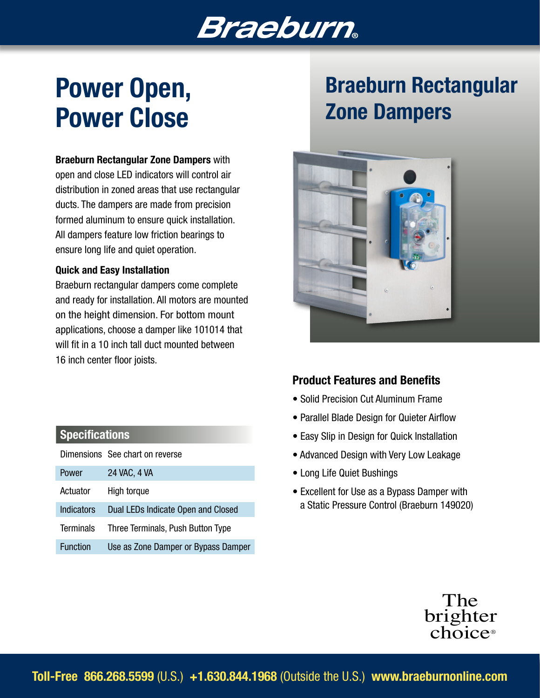# **Braeburn**

# Power Open, Power Close

#### Braeburn Rectangular Zone Dampers with

open and close LED indicators will control air distribution in zoned areas that use rectangular ducts. The dampers are made from precision formed aluminum to ensure quick installation. All dampers feature low friction bearings to ensure long life and quiet operation.

#### Quick and Easy Installation

Braeburn rectangular dampers come complete and ready for installation. All motors are mounted on the height dimension. For bottom mount applications, choose a damper like 101014 that will fit in a 10 inch tall duct mounted between 16 inch center floor joists.

### **Specifications**

|                   | Dimensions See chart on reverse     |
|-------------------|-------------------------------------|
| Power             | 24 VAC, 4 VA                        |
| Actuator          | High torque                         |
| <b>Indicators</b> | Dual LEDs Indicate Open and Closed  |
| Terminals         | Three Terminals, Push Button Type   |
| <b>Function</b>   | Use as Zone Damper or Bypass Damper |

## Braeburn Rectangular Zone Dampers



### Product Features and Benefits

- Solid Precision Cut Aluminum Frame
- Parallel Blade Design for Quieter Airflow
- Easy Slip in Design for Quick Installation
- Advanced Design with Very Low Leakage
- Long Life Quiet Bushings
- Excellent for Use as a Bypass Damper with a Static Pressure Control (Braeburn 149020)